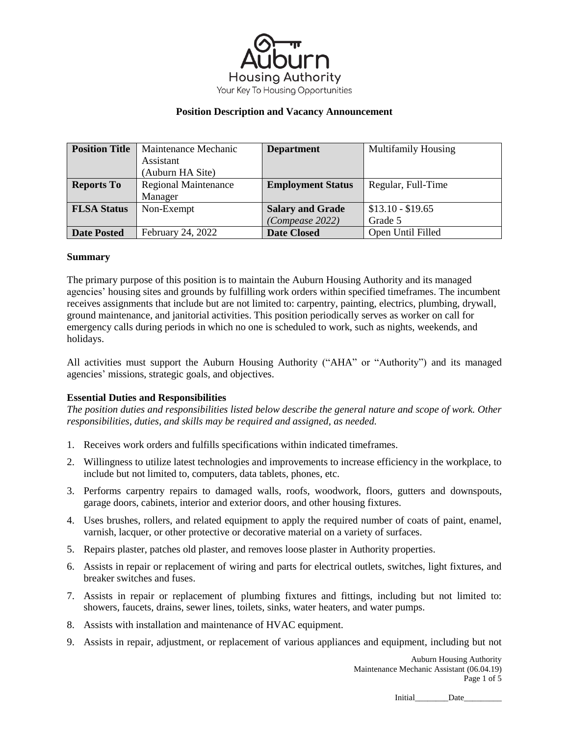

| <b>Position Title</b> | Maintenance Mechanic        | <b>Department</b>        | <b>Multifamily Housing</b> |
|-----------------------|-----------------------------|--------------------------|----------------------------|
|                       | Assistant                   |                          |                            |
|                       | (Auburn HA Site)            |                          |                            |
| <b>Reports To</b>     | <b>Regional Maintenance</b> | <b>Employment Status</b> | Regular, Full-Time         |
|                       | Manager                     |                          |                            |
| <b>FLSA Status</b>    | Non-Exempt                  | <b>Salary and Grade</b>  | $$13.10 - $19.65$          |
|                       |                             | (Compease 2022)          | Grade 5                    |
| <b>Date Posted</b>    | February 24, 2022           | <b>Date Closed</b>       | Open Until Filled          |

### **Summary**

The primary purpose of this position is to maintain the Auburn Housing Authority and its managed agencies' housing sites and grounds by fulfilling work orders within specified timeframes. The incumbent receives assignments that include but are not limited to: carpentry, painting, electrics, plumbing, drywall, ground maintenance, and janitorial activities. This position periodically serves as worker on call for emergency calls during periods in which no one is scheduled to work, such as nights, weekends, and holidays.

All activities must support the Auburn Housing Authority ("AHA" or "Authority") and its managed agencies' missions, strategic goals, and objectives.

### **Essential Duties and Responsibilities**

*The position duties and responsibilities listed below describe the general nature and scope of work. Other responsibilities, duties, and skills may be required and assigned, as needed.* 

- 1. Receives work orders and fulfills specifications within indicated timeframes.
- 2. Willingness to utilize latest technologies and improvements to increase efficiency in the workplace, to include but not limited to, computers, data tablets, phones, etc.
- 3. Performs carpentry repairs to damaged walls, roofs, woodwork, floors, gutters and downspouts, garage doors, cabinets, interior and exterior doors, and other housing fixtures.
- 4. Uses brushes, rollers, and related equipment to apply the required number of coats of paint, enamel, varnish, lacquer, or other protective or decorative material on a variety of surfaces.
- 5. Repairs plaster, patches old plaster, and removes loose plaster in Authority properties.
- 6. Assists in repair or replacement of wiring and parts for electrical outlets, switches, light fixtures, and breaker switches and fuses.
- 7. Assists in repair or replacement of plumbing fixtures and fittings, including but not limited to: showers, faucets, drains, sewer lines, toilets, sinks, water heaters, and water pumps.
- 8. Assists with installation and maintenance of HVAC equipment.
- 9. Assists in repair, adjustment, or replacement of various appliances and equipment, including but not

Auburn Housing Authority Maintenance Mechanic Assistant (06.04.19) Page 1 of 5

Initial Date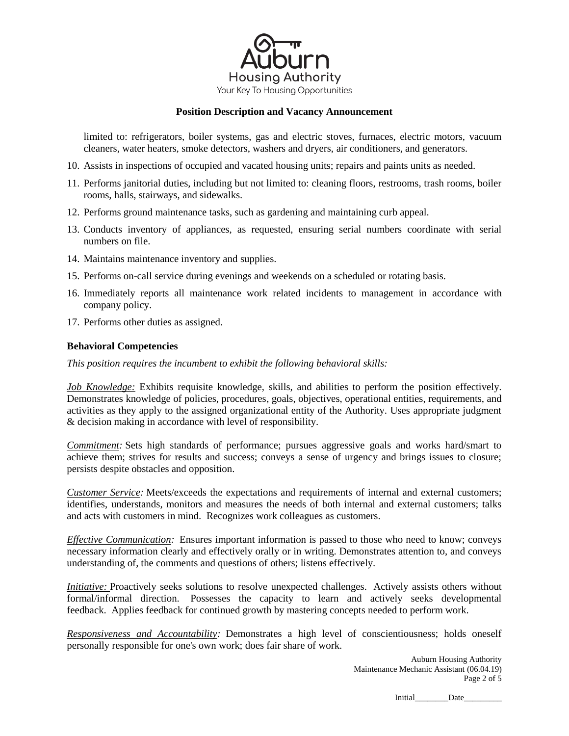

limited to: refrigerators, boiler systems, gas and electric stoves, furnaces, electric motors, vacuum cleaners, water heaters, smoke detectors, washers and dryers, air conditioners, and generators.

- 10. Assists in inspections of occupied and vacated housing units; repairs and paints units as needed.
- 11. Performs janitorial duties, including but not limited to: cleaning floors, restrooms, trash rooms, boiler rooms, halls, stairways, and sidewalks.
- 12. Performs ground maintenance tasks, such as gardening and maintaining curb appeal.
- 13. Conducts inventory of appliances, as requested, ensuring serial numbers coordinate with serial numbers on file.
- 14. Maintains maintenance inventory and supplies.
- 15. Performs on-call service during evenings and weekends on a scheduled or rotating basis.
- 16. Immediately reports all maintenance work related incidents to management in accordance with company policy.
- 17. Performs other duties as assigned.

# **Behavioral Competencies**

*This position requires the incumbent to exhibit the following behavioral skills:*

*Job Knowledge:* Exhibits requisite knowledge, skills, and abilities to perform the position effectively. Demonstrates knowledge of policies, procedures, goals, objectives, operational entities, requirements, and activities as they apply to the assigned organizational entity of the Authority. Uses appropriate judgment & decision making in accordance with level of responsibility.

*Commitment:* Sets high standards of performance; pursues aggressive goals and works hard/smart to achieve them; strives for results and success; conveys a sense of urgency and brings issues to closure; persists despite obstacles and opposition.

*Customer Service:* Meets/exceeds the expectations and requirements of internal and external customers; identifies, understands, monitors and measures the needs of both internal and external customers; talks and acts with customers in mind. Recognizes work colleagues as customers.

*Effective Communication:* Ensures important information is passed to those who need to know; conveys necessary information clearly and effectively orally or in writing. Demonstrates attention to, and conveys understanding of, the comments and questions of others; listens effectively.

*Initiative:* Proactively seeks solutions to resolve unexpected challenges. Actively assists others without formal/informal direction. Possesses the capacity to learn and actively seeks developmental feedback. Applies feedback for continued growth by mastering concepts needed to perform work.

*Responsiveness and Accountability:* Demonstrates a high level of conscientiousness; holds oneself personally responsible for one's own work; does fair share of work.

> Auburn Housing Authority Maintenance Mechanic Assistant (06.04.19) Page 2 of 5

> > Initial\_\_\_\_\_\_\_\_Date\_\_\_\_\_\_\_\_\_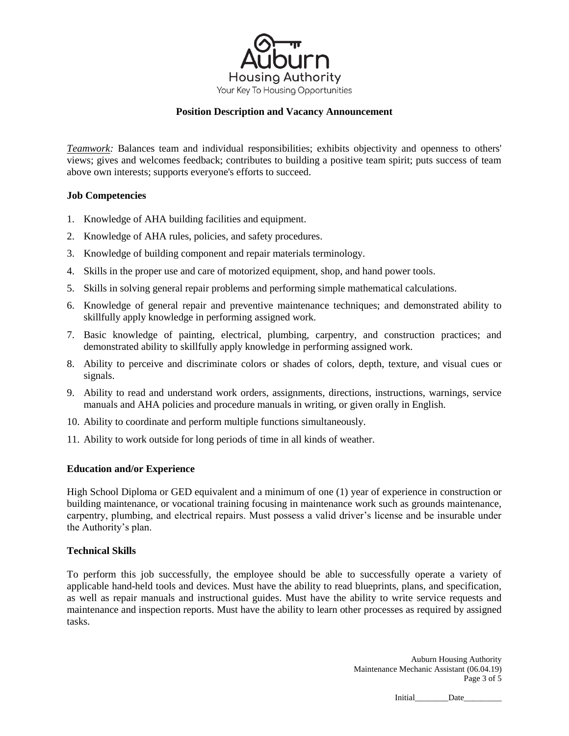

*Teamwork:* Balances team and individual responsibilities; exhibits objectivity and openness to others' views; gives and welcomes feedback; contributes to building a positive team spirit; puts success of team above own interests; supports everyone's efforts to succeed.

# **Job Competencies**

- 1. Knowledge of AHA building facilities and equipment.
- 2. Knowledge of AHA rules, policies, and safety procedures.
- 3. Knowledge of building component and repair materials terminology.
- 4. Skills in the proper use and care of motorized equipment, shop, and hand power tools.
- 5. Skills in solving general repair problems and performing simple mathematical calculations.
- 6. Knowledge of general repair and preventive maintenance techniques; and demonstrated ability to skillfully apply knowledge in performing assigned work.
- 7. Basic knowledge of painting, electrical, plumbing, carpentry, and construction practices; and demonstrated ability to skillfully apply knowledge in performing assigned work.
- 8. Ability to perceive and discriminate colors or shades of colors, depth, texture, and visual cues or signals.
- 9. Ability to read and understand work orders, assignments, directions, instructions, warnings, service manuals and AHA policies and procedure manuals in writing, or given orally in English.
- 10. Ability to coordinate and perform multiple functions simultaneously.
- 11. Ability to work outside for long periods of time in all kinds of weather.

### **Education and/or Experience**

High School Diploma or GED equivalent and a minimum of one (1) year of experience in construction or building maintenance, or vocational training focusing in maintenance work such as grounds maintenance, carpentry, plumbing, and electrical repairs. Must possess a valid driver's license and be insurable under the Authority's plan.

### **Technical Skills**

To perform this job successfully, the employee should be able to successfully operate a variety of applicable hand-held tools and devices. Must have the ability to read blueprints, plans, and specification, as well as repair manuals and instructional guides. Must have the ability to write service requests and maintenance and inspection reports. Must have the ability to learn other processes as required by assigned tasks.

> Auburn Housing Authority Maintenance Mechanic Assistant (06.04.19) Page 3 of 5

> > Initial\_\_\_\_\_\_\_\_Date\_\_\_\_\_\_\_\_\_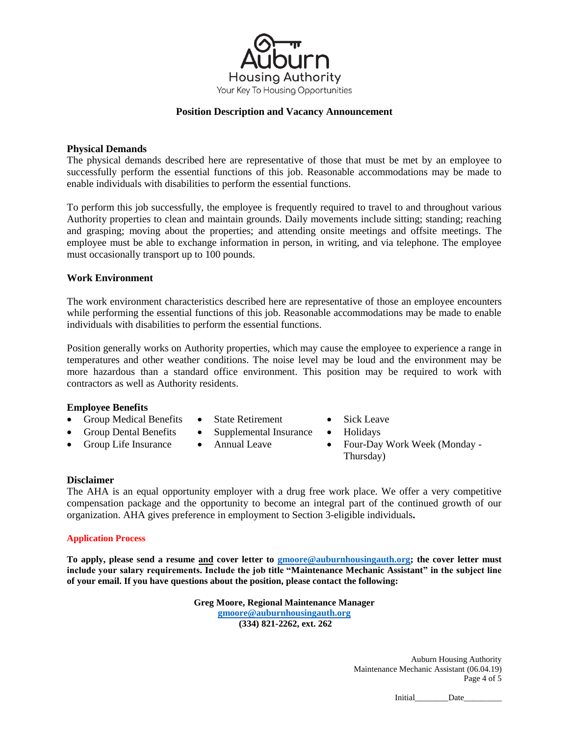

# **Physical Demands**

The physical demands described here are representative of those that must be met by an employee to successfully perform the essential functions of this job. Reasonable accommodations may be made to enable individuals with disabilities to perform the essential functions.

To perform this job successfully, the employee is frequently required to travel to and throughout various Authority properties to clean and maintain grounds. Daily movements include sitting; standing; reaching and grasping; moving about the properties; and attending onsite meetings and offsite meetings. The employee must be able to exchange information in person, in writing, and via telephone. The employee must occasionally transport up to 100 pounds.

# **Work Environment**

The work environment characteristics described here are representative of those an employee encounters while performing the essential functions of this job. Reasonable accommodations may be made to enable individuals with disabilities to perform the essential functions.

Position generally works on Authority properties, which may cause the employee to experience a range in temperatures and other weather conditions. The noise level may be loud and the environment may be more hazardous than a standard office environment. This position may be required to work with contractors as well as Authority residents.

# **Employee Benefits**

- Group Medical Benefits • Group Dental Benefits
- State Retirement
- Supplemental Insurance Holidays
- Group Life Insurance • Annual Leave
- Sick Leave
- 
- Four-Day Work Week (Monday Thursday)

### **Disclaimer**

The AHA is an equal opportunity employer with a drug free work place. We offer a very competitive compensation package and the opportunity to become an integral part of the continued growth of our organization. AHA gives preference in employment to Section 3-eligible individuals**.** 

### **Application Process**

**To apply, please send a resume and cover letter to [gmoore@auburnhousingauth.org;](mailto:gmoore@auburnhousingauth.org) the cover letter must include your salary requirements. Include the job title "Maintenance Mechanic Assistant" in the subject line of your email. If you have questions about the position, please contact the following:**

> **Greg Moore, Regional Maintenance Manager [gmoore@auburnhousingauth.org](mailto:gmoore@auburnhousingauth.org) (334) 821-2262, ext. 262**

> > Auburn Housing Authority Maintenance Mechanic Assistant (06.04.19) Page 4 of 5

> > > Initial Date